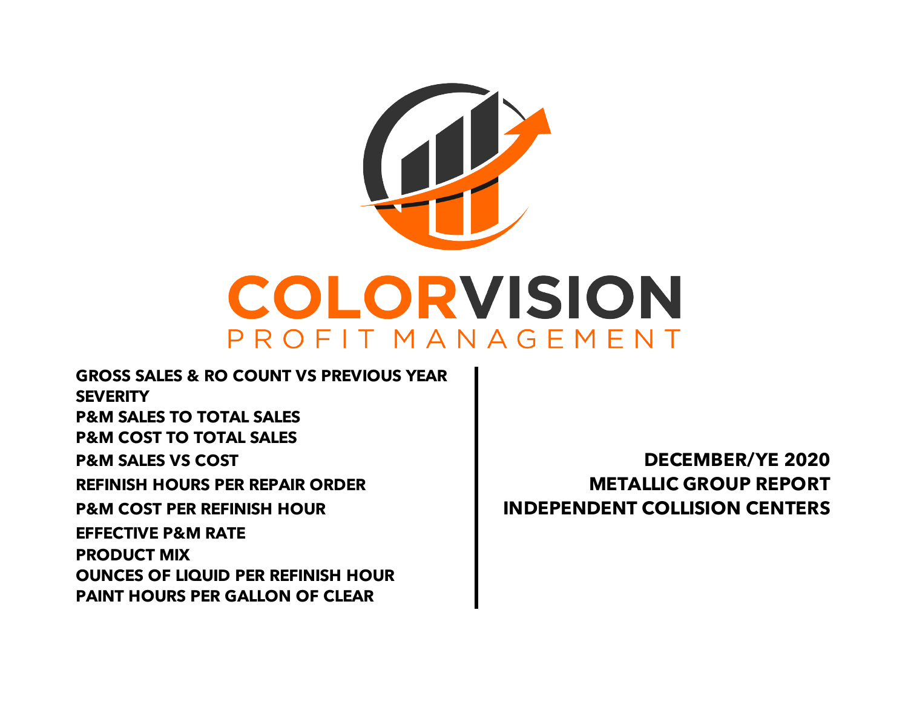

**GROSS SALES & RO COUNT VS PREVIOUS YEAR SEVERITY P&M SALES TO TOTAL SALES P&M COST TO TOTAL SALES P&M SALES VS COST DECEMBER/YE 2020 REFINISH HOURS PER REPAIR ORDER METALLIC GROUP REPORT P&M COST PER REFINISH HOUR INDEPENDENT COLLISION CENTERS PAINT HOURS PER GALLON OF CLEAR EFFECTIVE P&M RATE PRODUCT MIX OUNCES OF LIQUID PER REFINISH HOUR**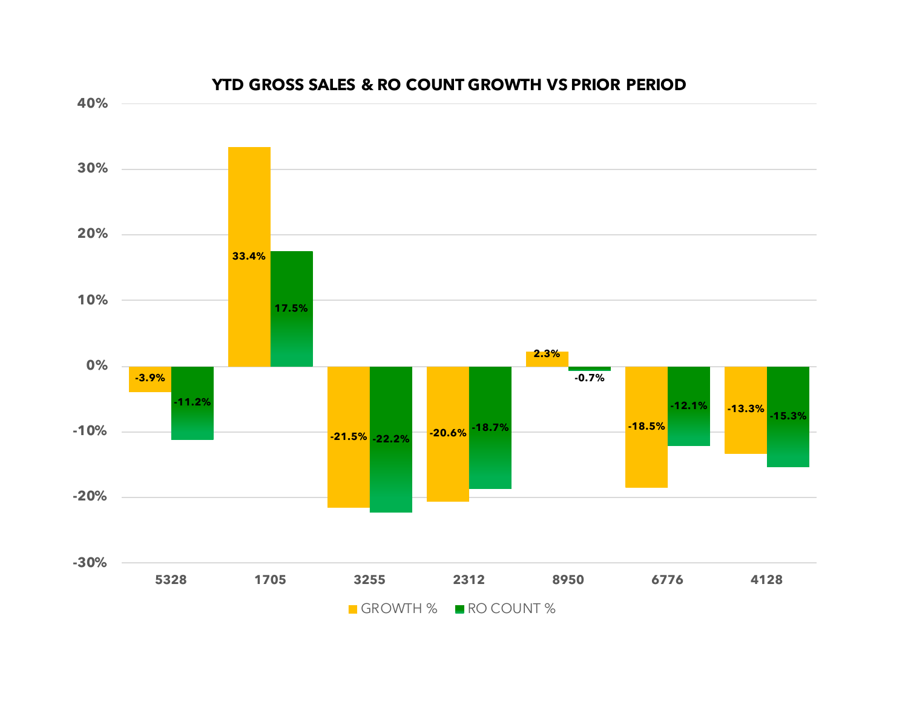

#### **YTD GROSS SALES & RO COUNT GROWTH VS PRIOR PERIOD**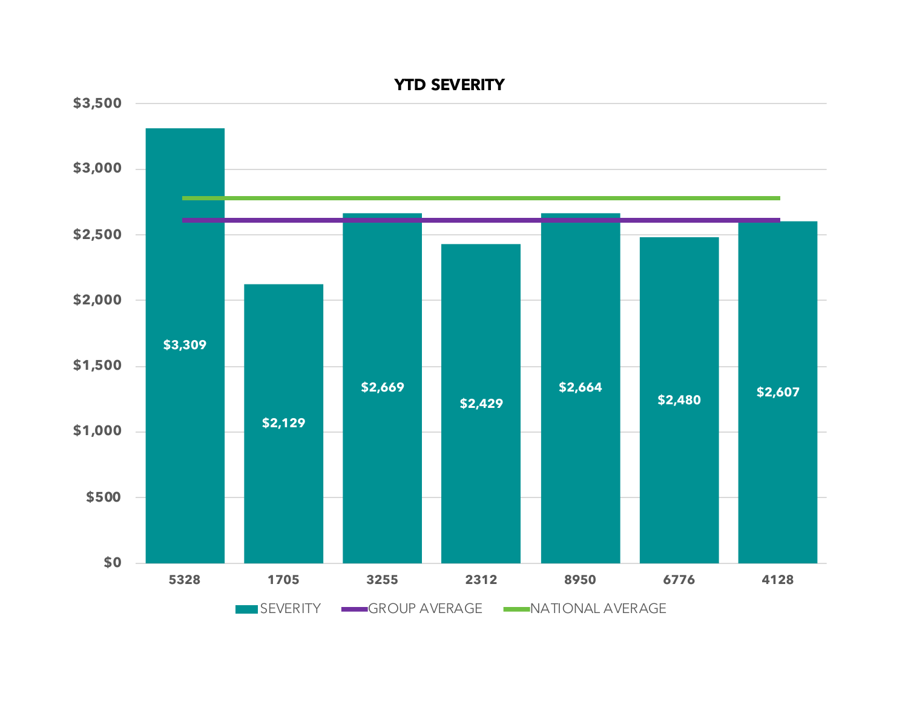

**YTD SEVERITY**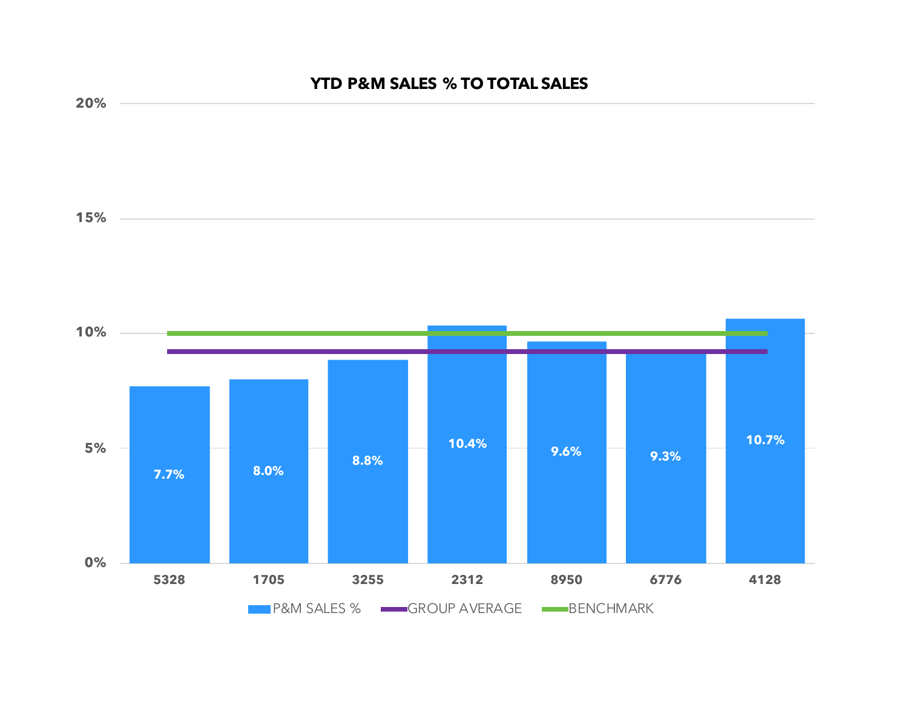## **YTD P&M SALES % TO TOTAL SALES**

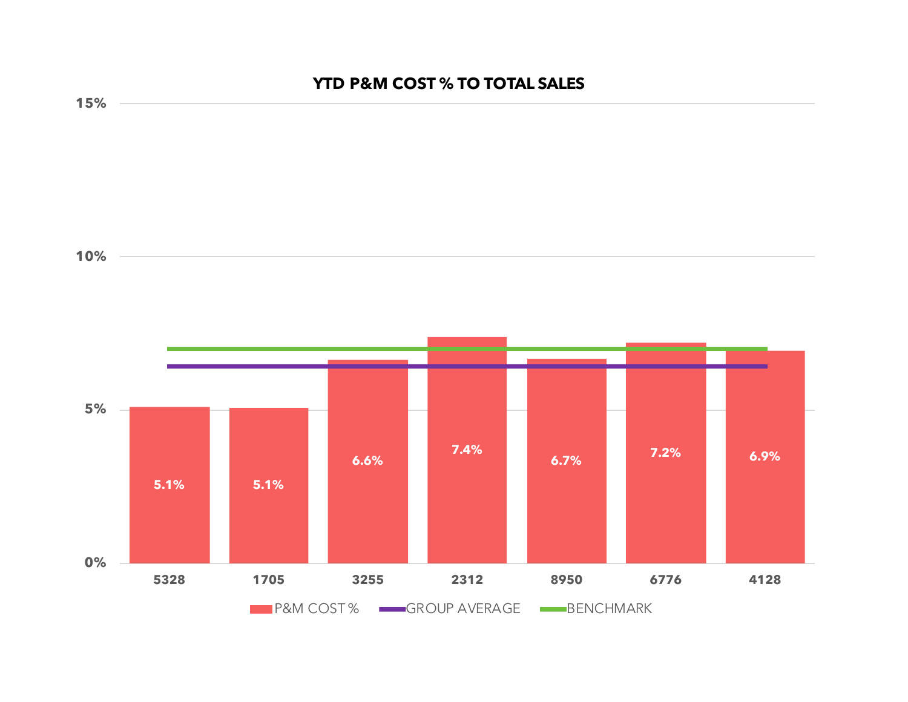# **YTD P&M COST % TO TOTAL SALES**

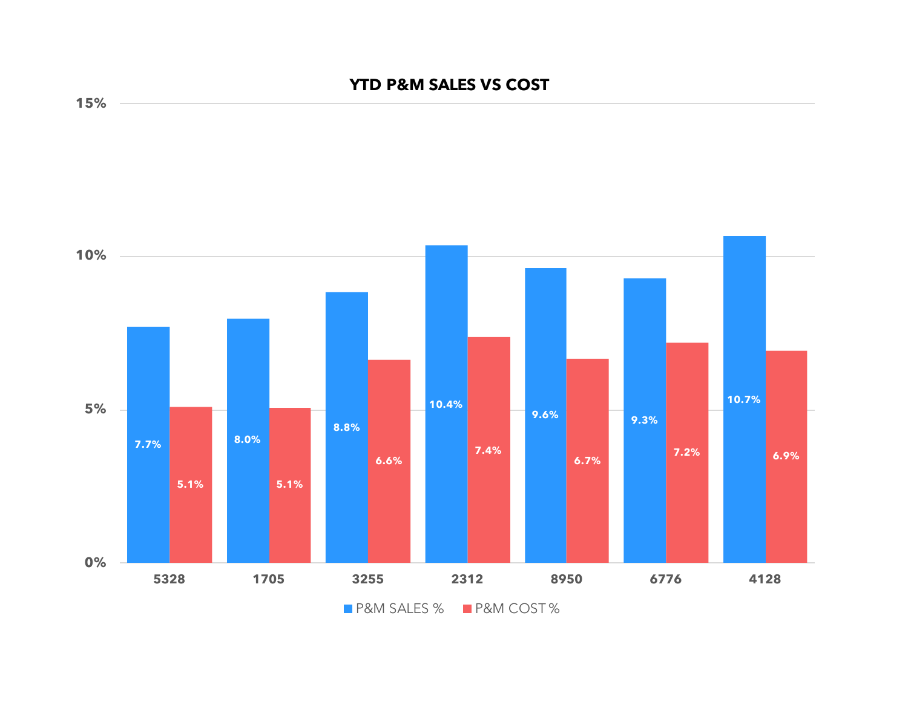## **YTD P&M SALES VS COST**



**15%**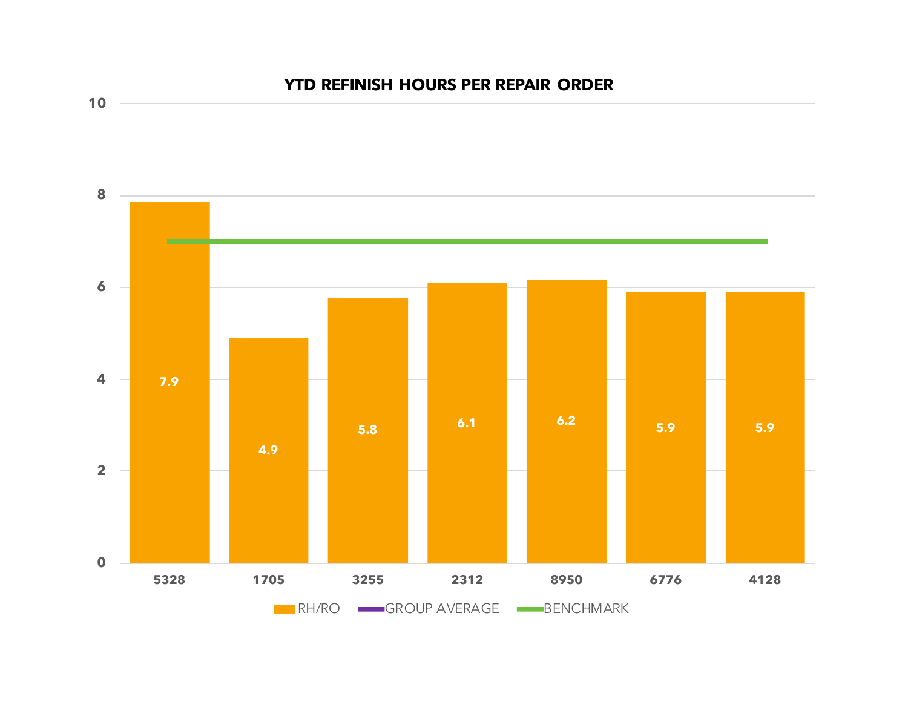

# **YTD REFINISH HOURS PER REPAIR ORDER**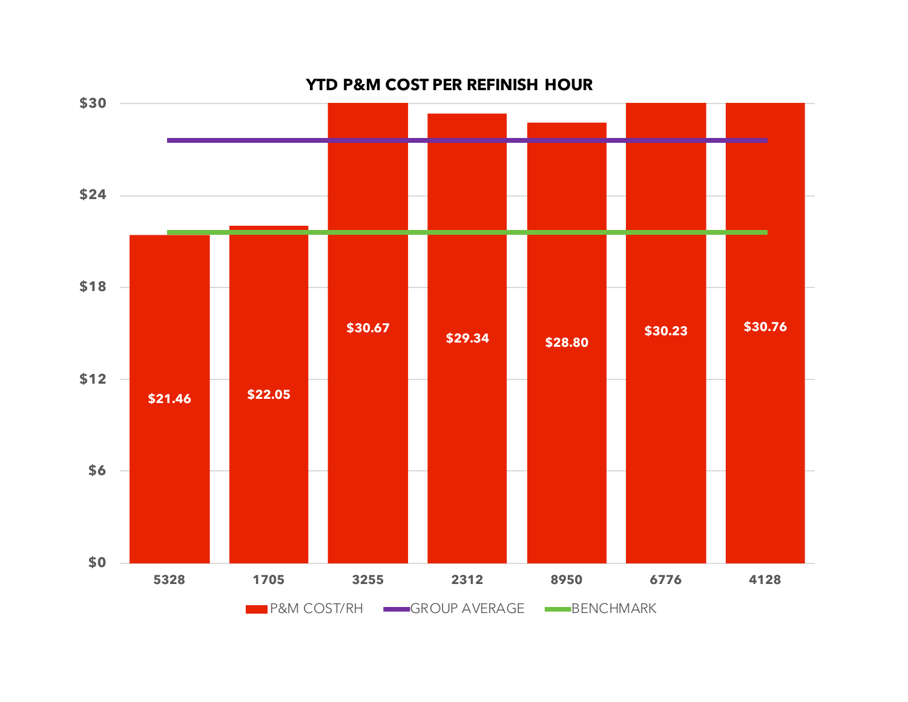

**YTD P&M COST PER REFINISH HOUR**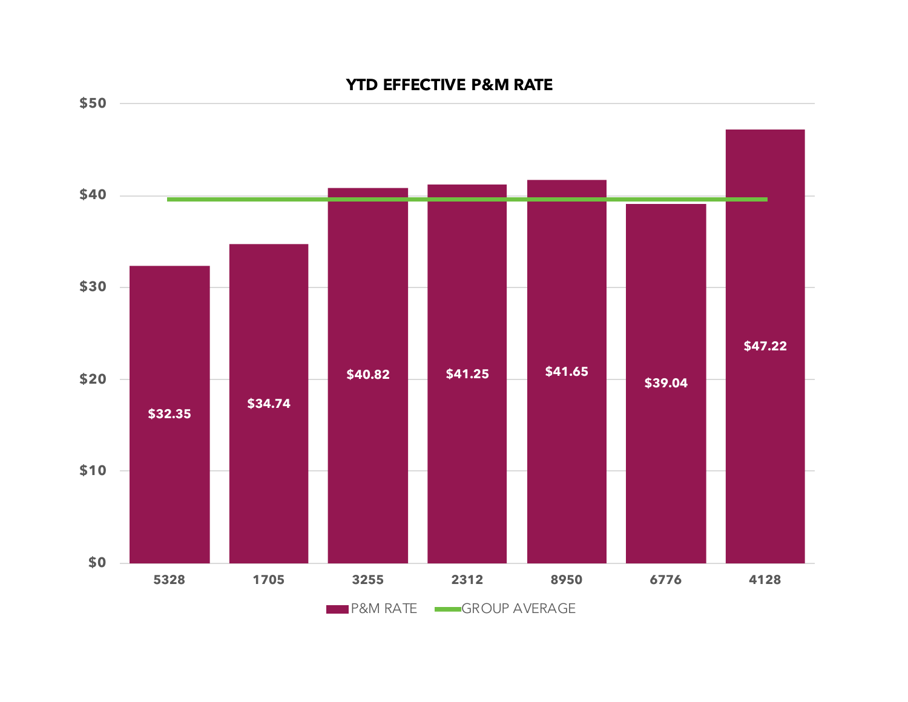

#### **YTD EFFECTIVE P&M RATE**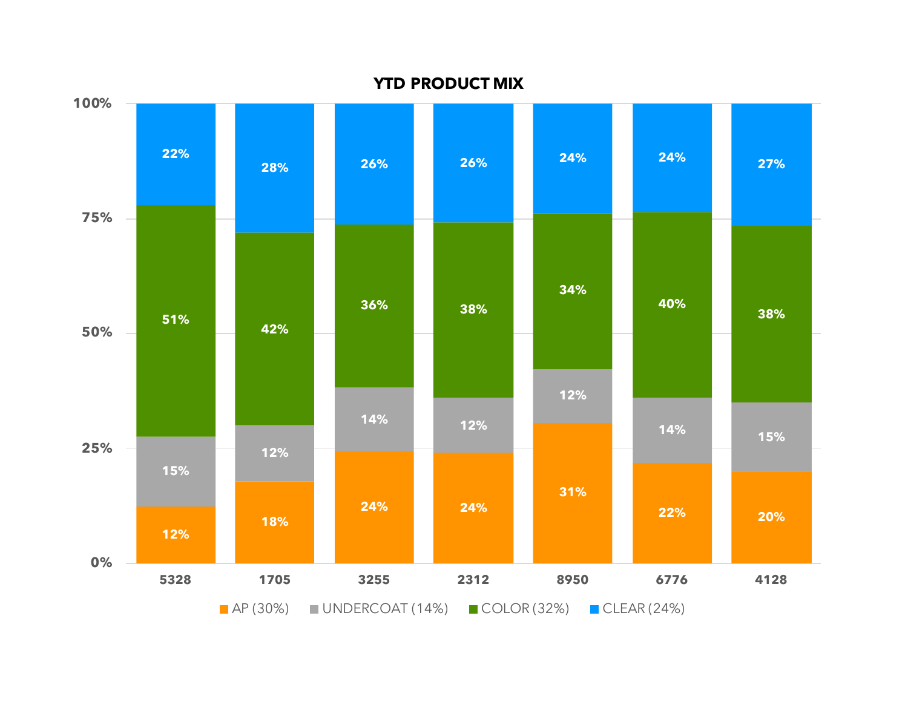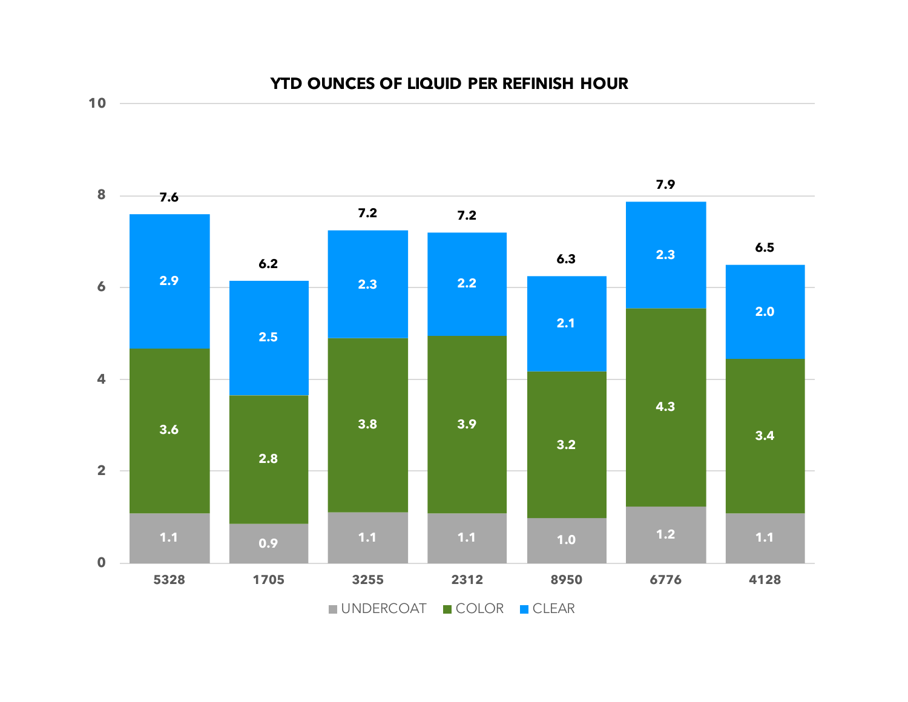**YTD OUNCES OF LIQUID PER REFINISH HOUR**



**10**